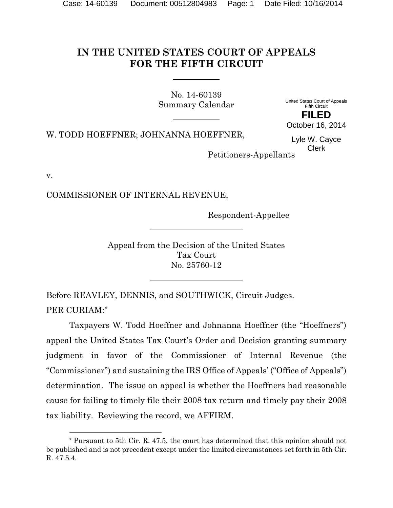# **IN THE UNITED STATES COURT OF APPEALS FOR THE FIFTH CIRCUIT**

No. 14-60139 Summary Calendar

United States Court of Appeals Fifth Circuit **FILED**

October 16, 2014

W. TODD HOEFFNER; JOHNANNA HOEFFNER,

Lyle W. Cayce Clerk

Petitioners-Appellants

v.

l

COMMISSIONER OF INTERNAL REVENUE,

Respondent-Appellee

Appeal from the Decision of the United States Tax Court No. 25760-12

Before REAVLEY, DENNIS, and SOUTHWICK, Circuit Judges. PER CURIAM:[\\*](#page-0-0)

Taxpayers W. Todd Hoeffner and Johnanna Hoeffner (the "Hoeffners") appeal the United States Tax Court's Order and Decision granting summary judgment in favor of the Commissioner of Internal Revenue (the "Commissioner") and sustaining the IRS Office of Appeals' ("Office of Appeals") determination. The issue on appeal is whether the Hoeffners had reasonable cause for failing to timely file their 2008 tax return and timely pay their 2008 tax liability. Reviewing the record, we AFFIRM.

<span id="page-0-0"></span><sup>\*</sup> Pursuant to 5th Cir. R. 47.5, the court has determined that this opinion should not be published and is not precedent except under the limited circumstances set forth in 5th Cir. R. 47.5.4.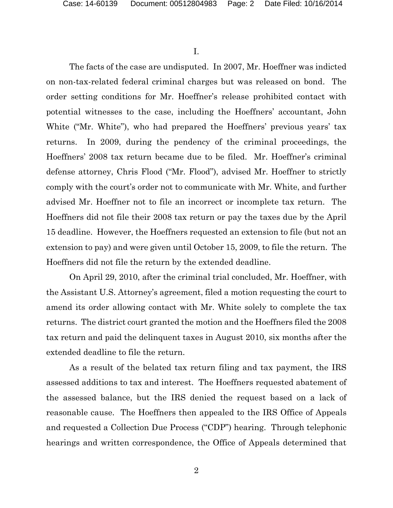I.

The facts of the case are undisputed. In 2007, Mr. Hoeffner was indicted on non-tax-related federal criminal charges but was released on bond. The order setting conditions for Mr. Hoeffner's release prohibited contact with potential witnesses to the case, including the Hoeffners' accountant, John White ("Mr. White"), who had prepared the Hoeffners' previous years' tax returns. In 2009, during the pendency of the criminal proceedings, the Hoeffners' 2008 tax return became due to be filed. Mr. Hoeffner's criminal defense attorney, Chris Flood ("Mr. Flood"), advised Mr. Hoeffner to strictly comply with the court's order not to communicate with Mr. White, and further advised Mr. Hoeffner not to file an incorrect or incomplete tax return. The Hoeffners did not file their 2008 tax return or pay the taxes due by the April 15 deadline. However, the Hoeffners requested an extension to file (but not an extension to pay) and were given until October 15, 2009, to file the return. The Hoeffners did not file the return by the extended deadline.

On April 29, 2010, after the criminal trial concluded, Mr. Hoeffner, with the Assistant U.S. Attorney's agreement, filed a motion requesting the court to amend its order allowing contact with Mr. White solely to complete the tax returns. The district court granted the motion and the Hoeffners filed the 2008 tax return and paid the delinquent taxes in August 2010, six months after the extended deadline to file the return.

As a result of the belated tax return filing and tax payment, the IRS assessed additions to tax and interest. The Hoeffners requested abatement of the assessed balance, but the IRS denied the request based on a lack of reasonable cause. The Hoeffners then appealed to the IRS Office of Appeals and requested a Collection Due Process ("CDP") hearing. Through telephonic hearings and written correspondence, the Office of Appeals determined that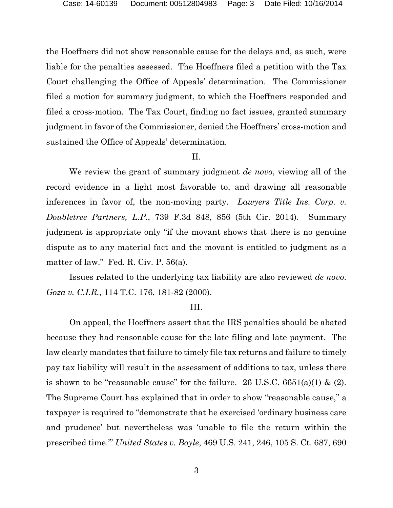the Hoeffners did not show reasonable cause for the delays and, as such, were liable for the penalties assessed. The Hoeffners filed a petition with the Tax Court challenging the Office of Appeals' determination. The Commissioner filed a motion for summary judgment, to which the Hoeffners responded and filed a cross-motion. The Tax Court, finding no fact issues, granted summary judgment in favor of the Commissioner, denied the Hoeffners' cross-motion and sustained the Office of Appeals' determination.

## II.

We review the grant of summary judgment *de novo*, viewing all of the record evidence in a light most favorable to, and drawing all reasonable inferences in favor of, the non-moving party. *Lawyers Title Ins. Corp. v. Doubletree Partners, L.P.*, 739 F.3d 848, 856 (5th Cir. 2014). Summary judgment is appropriate only "if the movant shows that there is no genuine dispute as to any material fact and the movant is entitled to judgment as a matter of law." Fed. R. Civ. P. 56(a).

Issues related to the underlying tax liability are also reviewed *de novo*. *Goza v. C.I.R.*, 114 T.C. 176, 181-82 (2000).

#### III.

On appeal, the Hoeffners assert that the IRS penalties should be abated because they had reasonable cause for the late filing and late payment. The law clearly mandates that failure to timely file tax returns and failure to timely pay tax liability will result in the assessment of additions to tax, unless there is shown to be "reasonable cause" for the failure. 26 U.S.C.  $6651(a)(1)$  & (2). The Supreme Court has explained that in order to show "reasonable cause," a taxpayer is required to "demonstrate that he exercised 'ordinary business care and prudence' but nevertheless was 'unable to file the return within the prescribed time.'" *United States v. Boyle*, 469 U.S. 241, 246, 105 S. Ct. 687, 690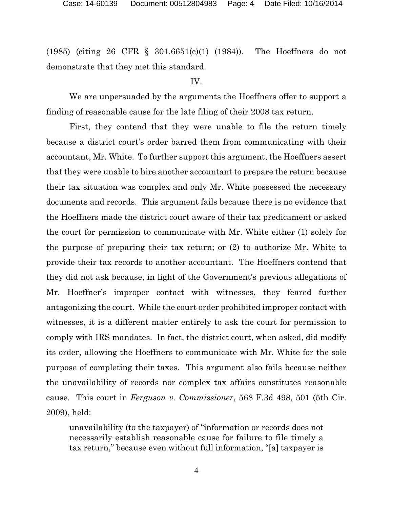(1985) (citing 26 CFR § 301.6651(c)(1) (1984)). The Hoeffners do not demonstrate that they met this standard.

# IV.

We are unpersuaded by the arguments the Hoeffners offer to support a finding of reasonable cause for the late filing of their 2008 tax return.

First, they contend that they were unable to file the return timely because a district court's order barred them from communicating with their accountant, Mr. White. To further support this argument, the Hoeffners assert that they were unable to hire another accountant to prepare the return because their tax situation was complex and only Mr. White possessed the necessary documents and records. This argument fails because there is no evidence that the Hoeffners made the district court aware of their tax predicament or asked the court for permission to communicate with Mr. White either (1) solely for the purpose of preparing their tax return; or (2) to authorize Mr. White to provide their tax records to another accountant. The Hoeffners contend that they did not ask because, in light of the Government's previous allegations of Mr. Hoeffner's improper contact with witnesses, they feared further antagonizing the court. While the court order prohibited improper contact with witnesses, it is a different matter entirely to ask the court for permission to comply with IRS mandates. In fact, the district court, when asked, did modify its order, allowing the Hoeffners to communicate with Mr. White for the sole purpose of completing their taxes. This argument also fails because neither the unavailability of records nor complex tax affairs constitutes reasonable cause. This court in *Ferguson v. Commissioner*, 568 F.3d 498, 501 (5th Cir. 2009), held:

unavailability (to the taxpayer) of "information or records does not necessarily establish reasonable cause for failure to file timely a tax return," because even without full information, "[a] taxpayer is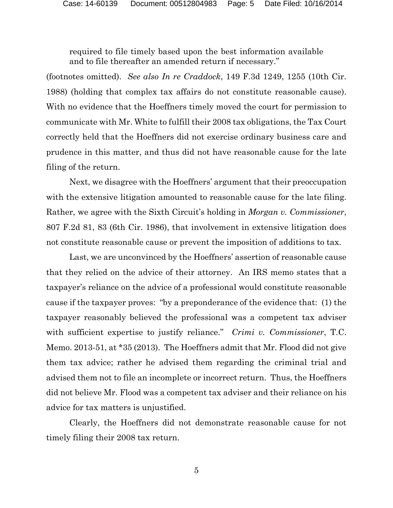required to file timely based upon the best information available and to file thereafter an amended return if necessary."

(footnotes omitted). *See also In re Craddock*, 149 F.3d 1249, 1255 (10th Cir. 1988) (holding that complex tax affairs do not constitute reasonable cause). With no evidence that the Hoeffners timely moved the court for permission to communicate with Mr. White to fulfill their 2008 tax obligations, the Tax Court correctly held that the Hoeffners did not exercise ordinary business care and prudence in this matter, and thus did not have reasonable cause for the late filing of the return.

Next, we disagree with the Hoeffners' argument that their preoccupation with the extensive litigation amounted to reasonable cause for the late filing. Rather, we agree with the Sixth Circuit's holding in *Morgan v. Commissioner*, 807 F.2d 81, 83 (6th Cir. 1986), that involvement in extensive litigation does not constitute reasonable cause or prevent the imposition of additions to tax.

Last, we are unconvinced by the Hoeffners' assertion of reasonable cause that they relied on the advice of their attorney. An IRS memo states that a taxpayer's reliance on the advice of a professional would constitute reasonable cause if the taxpayer proves: "by a preponderance of the evidence that: (1) the taxpayer reasonably believed the professional was a competent tax adviser with sufficient expertise to justify reliance." *Crimi v. Commissioner*, T.C. Memo. 2013-51, at \*35 (2013). The Hoeffners admit that Mr. Flood did not give them tax advice; rather he advised them regarding the criminal trial and advised them not to file an incomplete or incorrect return. Thus, the Hoeffners did not believe Mr. Flood was a competent tax adviser and their reliance on his advice for tax matters is unjustified.

Clearly, the Hoeffners did not demonstrate reasonable cause for not timely filing their 2008 tax return.